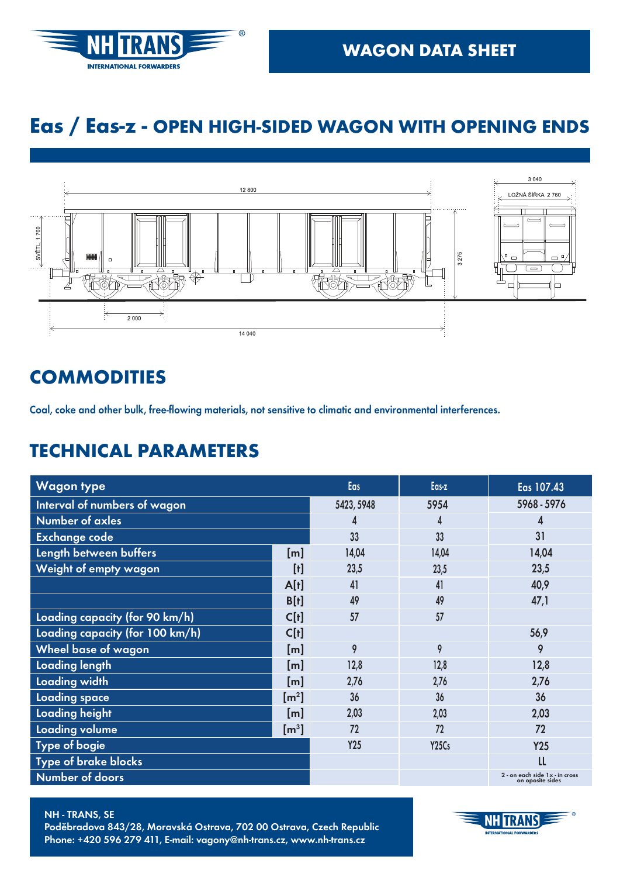

## **Eas / Eas-z - OPEN HIGH-SIDED WAGON WITH OPENING ENDS**



#### **COMMODITIES**

Coal, coke and other bulk, free-flowing materials, not sensitive to climatic and environmental interferences.

| <b>Wagon type</b>               |                             | Eas        | Eas-z                          | Eas 107.43                                             |
|---------------------------------|-----------------------------|------------|--------------------------------|--------------------------------------------------------|
| Interval of numbers of wagon    |                             | 5423, 5948 | 5954                           | 5968 - 5976                                            |
| Number of axles                 |                             | 4          | 4                              | 4                                                      |
| <b>Exchange code</b>            |                             | 33         | 33                             | 31                                                     |
| Length between buffers          | $[{\sf m}]$                 | 14,04      | 14,04                          | 14,04                                                  |
| Weight of empty wagon           | $[t]$                       | 23,5       | 23,5                           | 23,5                                                   |
|                                 | A[t]                        | 41         | 41                             | 40,9                                                   |
|                                 | B[t]                        | 49         | 49                             | 47,1                                                   |
| Loading capacity (for 90 km/h)  | C[t]                        | 57         | 57                             |                                                        |
| Loading capacity (for 100 km/h) | C[t]                        |            |                                | 56,9                                                   |
| <b>Wheel base of wagon</b>      | [m]                         | 9          | 9                              | 9                                                      |
| <b>Loading length</b>           | [m]                         | 12,8       | 12,8                           | 12,8                                                   |
| Loading width                   | [m]                         | 2,76       | 2,76                           | 2,76                                                   |
| <b>Loading space</b>            | $\left[\mathrm{m}^2\right]$ | 36         | 36                             | 36                                                     |
| Loading height                  | [m]                         | 2,03       | 2,03                           | 2,03                                                   |
| Loading volume                  | $\mathsf{[m^3]}$            | 72         | 72                             | 72                                                     |
| <b>Type of bogie</b>            |                             | Y25        | Y <sub>25</sub> C <sub>s</sub> | <b>Y25</b>                                             |
| Type of brake blocks            |                             |            |                                | LL                                                     |
| Number of doors                 |                             |            |                                | $2$ - on each side $1x$ - in cross<br>on oposite sides |



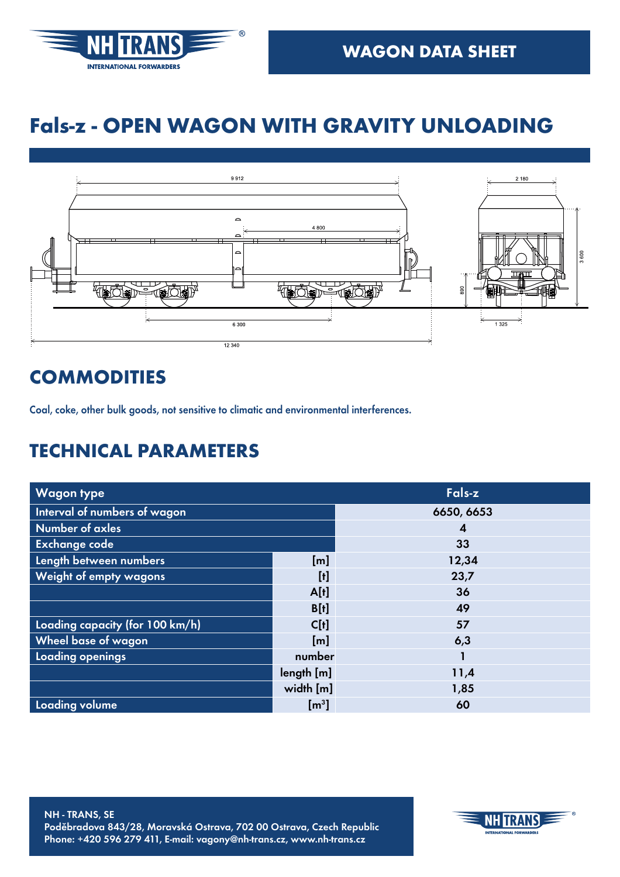

## **Fals-z - OPEN WAGON WITH GRAVITY UNLOADING**



#### **COMMODITIES**

Coal, coke, other bulk goods, not sensitive to climatic and environmental interferences.

| <b>Wagon type</b>               | Fals-z                    |            |
|---------------------------------|---------------------------|------------|
| Interval of numbers of wagon    |                           | 6650, 6653 |
| <b>Number of axles</b>          |                           | 4          |
| Exchange code                   |                           | 33         |
| Length between numbers          | [ <sub>m</sub> ]          | 12,34      |
| Weight of empty wagons          | $\llbracket 0 \rrbracket$ | 23,7       |
|                                 | A[t]                      | 36         |
|                                 | B[t]                      | 49         |
| Loading capacity (for 100 km/h) | C[t]                      | 57         |
| Wheel base of wagon             | [m]                       | 6,3        |
| Loading openings                | number                    |            |
|                                 | length[m]                 | 11,4       |
|                                 | width [m]                 | 1,85       |
| Loading volume                  | $\mathsf{[m^3]}$          | 60         |

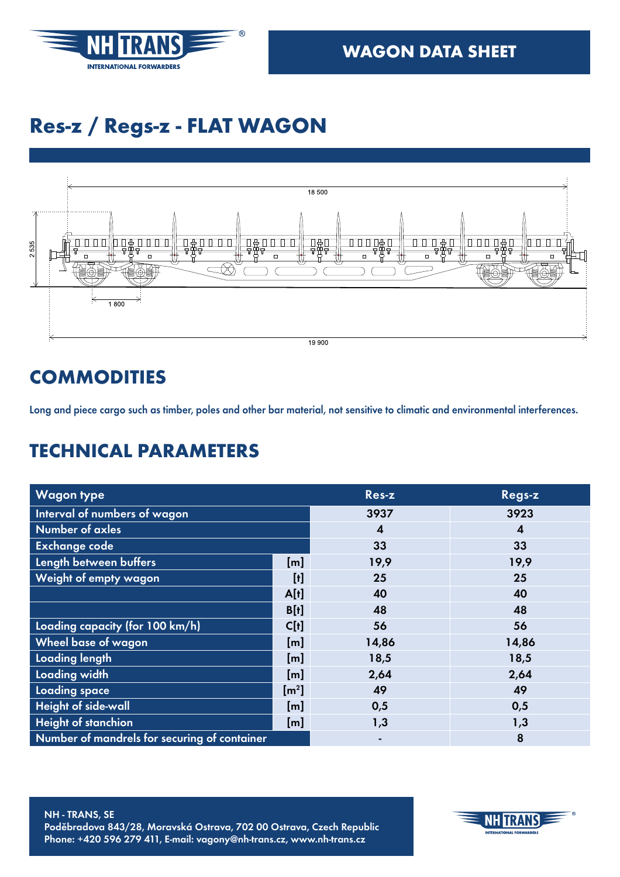

## **Res-z / Regs-z - FLAT WAGON**



## **COMMODITIES**

Long and piece cargo such as timber, poles and other bar material, not sensitive to climatic and environmental interferences.

| <b>Wagon type</b>                            |                           | Res-z            | Regs-z |
|----------------------------------------------|---------------------------|------------------|--------|
| Interval of numbers of wagon                 |                           | 3937             | 3923   |
| Number of axles                              |                           | $\boldsymbol{4}$ | 4      |
| <b>Exchange code</b>                         |                           | 33               | 33     |
| Length between buffers                       | [m]                       | 19,9             | 19,9   |
| Weight of empty wagon                        |                           | 25               | 25     |
|                                              | A[t]                      | 40               | 40     |
|                                              | B[t]                      | 48               | 48     |
| Loading capacity (for 100 km/h)              | C[t]                      | 56               | 56     |
| Wheel base of wagon                          | [m]                       | 14,86            | 14,86  |
| <b>Loading length</b>                        | [m]                       | 18,5             | 18,5   |
| Loading width                                | [m]                       | 2,64             | 2,64   |
| Loading space                                | $\left[\text{m}^2\right]$ | 49               | 49     |
| <b>Height of side-wall</b>                   | [m]                       | 0,5              | 0,5    |
| <b>Height of stanchion</b>                   | [m]                       | 1,3              | 1,3    |
| Number of mandrels for securing of container |                           |                  | 8      |

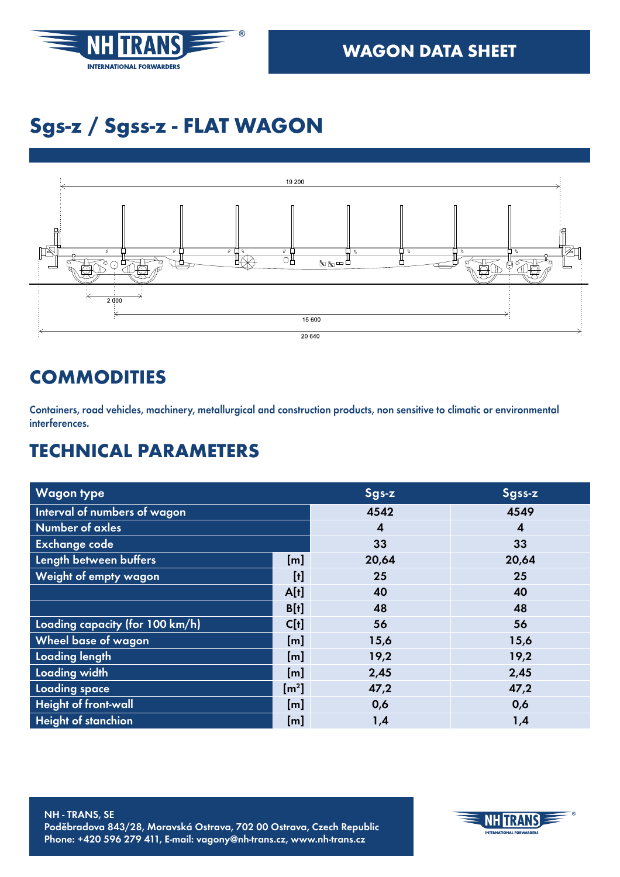

# **Sgs-z / Sgss-z - FLAT WAGON**



#### **COMMODITIES**

Containers, road vehicles, machinery, metallurgical and construction products, non sensitive to climatic or environmental interferences.

| <b>Wagon type</b>               |                                                                                                                                                                                                                                                                                                                                                                                                                                                                                                                                                                                                  | Sgs-z            | Sgss-z                  |
|---------------------------------|--------------------------------------------------------------------------------------------------------------------------------------------------------------------------------------------------------------------------------------------------------------------------------------------------------------------------------------------------------------------------------------------------------------------------------------------------------------------------------------------------------------------------------------------------------------------------------------------------|------------------|-------------------------|
| Interval of numbers of wagon    |                                                                                                                                                                                                                                                                                                                                                                                                                                                                                                                                                                                                  | 4542             | 4549                    |
| <b>Number of axles</b>          |                                                                                                                                                                                                                                                                                                                                                                                                                                                                                                                                                                                                  | $\boldsymbol{4}$ | $\overline{\mathbf{4}}$ |
| <b>Exchange code</b>            |                                                                                                                                                                                                                                                                                                                                                                                                                                                                                                                                                                                                  | 33               | 33                      |
| Length between buffers          | [m]                                                                                                                                                                                                                                                                                                                                                                                                                                                                                                                                                                                              | 20,64            | 20,64                   |
| Weight of empty wagon           | $[!]% \centering \subfloat[\centering]{{\includegraphics[width=0.28\textwidth]{figs-pr2.png}}% \qquad \subfloat[\centering]{{\includegraphics[width=0.28\textwidth]{figs-pr2.png}}% \qquad \subfloat[\centering]{{\includegraphics[width=0.28\textwidth]{figs-pr2.png}}% \qquad \subfloat[\centering]{{\includegraphics[width=0.28\textwidth]{figs-pr2.png}}% \qquad \subfloat[\centering]{{\includegraphics[width=0.28\textwidth]{figs-pr2.png}}% \qquad \subfloat[\centering]{{\includegraphics[width=0.28\textwidth]{figs-pr2.png}}% \qquad \subfloat[\centering]{{\includegraphics[width=0.$ | 25               | 25                      |
|                                 | A[t]                                                                                                                                                                                                                                                                                                                                                                                                                                                                                                                                                                                             | 40               | 40                      |
|                                 | B[t]                                                                                                                                                                                                                                                                                                                                                                                                                                                                                                                                                                                             | 48               | 48                      |
| Loading capacity (for 100 km/h) | C[t]                                                                                                                                                                                                                                                                                                                                                                                                                                                                                                                                                                                             | 56               | 56                      |
| Wheel base of wagon             | [m]                                                                                                                                                                                                                                                                                                                                                                                                                                                                                                                                                                                              | 15,6             | 15,6                    |
| Loading length                  | [m]                                                                                                                                                                                                                                                                                                                                                                                                                                                                                                                                                                                              | 19,2             | 19,2                    |
| Loading width                   | [m]                                                                                                                                                                                                                                                                                                                                                                                                                                                                                                                                                                                              | 2,45             | 2,45                    |
| Loading space                   | $\left[\text{m}^2\right]$                                                                                                                                                                                                                                                                                                                                                                                                                                                                                                                                                                        | 47,2             | 47,2                    |
| Height of front-wall            | [m]                                                                                                                                                                                                                                                                                                                                                                                                                                                                                                                                                                                              | 0,6              | 0,6                     |
| <b>Height of stanchion</b>      | [m]                                                                                                                                                                                                                                                                                                                                                                                                                                                                                                                                                                                              | 1,4              | 1,4                     |